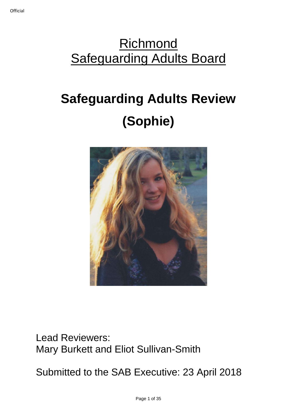## **Richmond Safeguarding Adults Board**

# **Safeguarding Adults Review (Sophie)**



Lead Reviewers: Mary Burkett and Eliot Sullivan-Smith

Submitted to the SAB Executive: 23 April 2018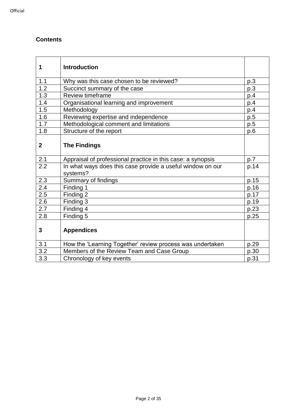#### **Contents**

| 1                | <b>Introduction</b>                                                    |      |
|------------------|------------------------------------------------------------------------|------|
| 1.1              | Why was this case chosen to be reviewed?                               | p.3  |
| $\overline{1.2}$ | Succinct summary of the case                                           | p.3  |
| 1.3              | Review timeframe                                                       | p.4  |
| 1.4              | Organisational learning and improvement                                | p.4  |
| 1.5              | Methodology                                                            | p.4  |
| 1.6              | Reviewing expertise and independence                                   | p.5  |
| 1.7              | Methodological comment and limitations                                 | p.5  |
| 1.8              | Structure of the report                                                | p.6  |
| $\mathbf{2}$     | <b>The Findings</b>                                                    |      |
| 2.1              | Appraisal of professional practice in this case: a synopsis            | p.7  |
| $\overline{2.2}$ | In what ways does this case provide a useful window on our<br>systems? | p.14 |
| 2.3              | Summary of findings                                                    | p.15 |
| 2.4              | Finding 1                                                              | p.16 |
| 2.5              | Finding 2                                                              | p.17 |
| 2.6              | Finding 3                                                              | p.19 |
| 2.7              | Finding 4                                                              | p.23 |
| 2.8              | Finding 5                                                              | p.25 |
| $\mathbf{3}$     | <b>Appendices</b>                                                      |      |
| 3.1              | How the 'Learning Together' review process was undertaken              | p.29 |
| 3.2              | Members of the Review Team and Case Group                              | p.30 |
| 3.3              | Chronology of key events                                               | p.31 |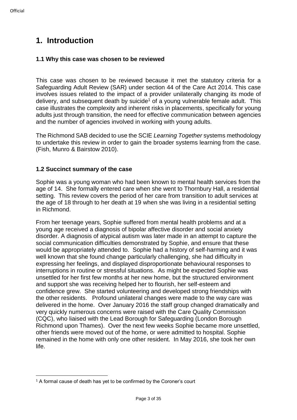### **1. Introduction**

#### **1.1 Why this case was chosen to be reviewed**

This case was chosen to be reviewed because it met the statutory criteria for a Safeguarding Adult Review (SAR) under section 44 of the Care Act 2014. This case involves issues related to the impact of a provider unilaterally changing its mode of delivery, and subsequent death by suicide<sup>1</sup> of a young vulnerable female adult. This case illustrates the complexity and inherent risks in placements, specifically for young adults just through transition, the need for effective communication between agencies and the number of agencies involved in working with young adults.

The Richmond SAB decided to use the SCIE *Learning Together* systems methodology to undertake this review in order to gain the broader systems learning from the case. (Fish, Munro & Bairstow 2010).

#### **1.2 Succinct summary of the case**

Sophie was a young woman who had been known to mental health services from the age of 14. She formally entered care when she went to Thornbury Hall, a residential setting. This review covers the period of her care from transition to adult services at the age of 18 through to her death at 19 when she was living in a residential setting in Richmond.

From her teenage years, Sophie suffered from mental health problems and at a young age received a diagnosis of bipolar affective disorder and social anxiety disorder. A diagnosis of atypical autism was later made in an attempt to capture the social communication difficulties demonstrated by Sophie, and ensure that these would be appropriately attended to. Sophie had a history of self-harming and it was well known that she found change particularly challenging, she had difficulty in expressing her feelings, and displayed disproportionate behavioural responses to interruptions in routine or stressful situations. As might be expected Sophie was unsettled for her first few months at her new home, but the structured environment and support she was receiving helped her to flourish, her self-esteem and confidence grew. She started volunteering and developed strong friendships with the other residents. Profound unilateral changes were made to the way care was delivered in the home. Over January 2016 the staff group changed dramatically and very quickly numerous concerns were raised with the Care Quality Commission (CQC), who liaised with the Lead Borough for Safeguarding (London Borough Richmond upon Thames). Over the next few weeks Sophie became more unsettled, other friends were moved out of the home, or were admitted to hospital. Sophie remained in the home with only one other resident. In May 2016, she took her own life.

<sup>1</sup> <sup>1</sup> A formal cause of death has yet to be confirmed by the Coroner's court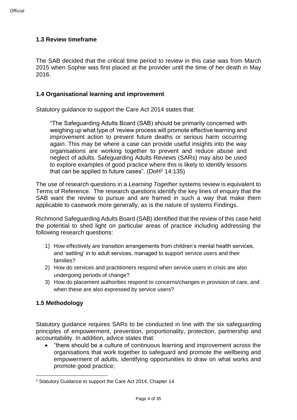#### **1.3 Review timeframe**

The SAB decided that the critical time period to review in this case was from March 2015 when Sophie was first placed at the provider until the time of her death in May 2016.

#### **1.4 Organisational learning and improvement**

Statutory guidance to support the Care Act 2014 states that:

"The Safeguarding Adults Board (SAB) should be primarily concerned with weighing up what type of 'review process will promote effective learning and improvement action to prevent future deaths or serious harm occurring again. This may be where a case can provide useful insights into the way organisations are working together to prevent and reduce abuse and neglect of adults. Safeguarding Adults Reviews (SARs) may also be used to explore examples of good practice where this is likely to identify lessons that can be applied to future cases". (DoH $2$  14:135)

The use of research questions in a *Learning Together* systems review is equivalent to Terms of Reference. The research questions identify the key lines of enquiry that the SAB want the review to pursue and are framed in such a way that make them applicable to casework more generally, as is the nature of systems Findings.

Richmond Safeguarding Adults Board (SAB) identified that the review of this case held the potential to shed light on particular areas of practice including addressing the following research questions:

- 1) How effectively are transition arrangements from children's mental health services, and 'settling' in to adult services, managed to support service users and their families?
- 2) How do services and practitioners respond when service users in crisis are also undergoing periods of change?
- 3) How do placement authorities respond to concerns/changes in provision of care, and when these are also expressed by service users?

#### **1.5 Methodology**

1

Statutory guidance requires SARs to be conducted in line with the six safeguarding principles of empowerment, prevention, proportionality, protection, partnership and accountability. In addition, advice states that:

• "there should be a culture of continuous learning and improvement across the organisations that work together to safeguard and promote the wellbeing and empowerment of adults, identifying opportunities to draw on what works and promote good practice;

<sup>2</sup> Statutory Guidance to support the Care Act 2014, Chapter 14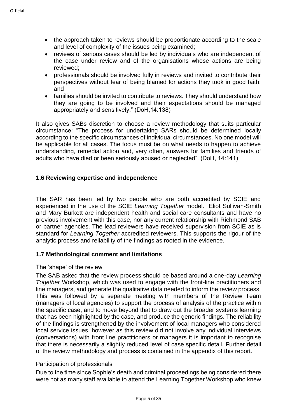- the approach taken to reviews should be proportionate according to the scale and level of complexity of the issues being examined;
- reviews of serious cases should be led by individuals who are independent of the case under review and of the organisations whose actions are being reviewed;
- professionals should be involved fully in reviews and invited to contribute their perspectives without fear of being blamed for actions they took in good faith; and
- families should be invited to contribute to reviews. They should understand how they are going to be involved and their expectations should be managed appropriately and sensitively." (DoH,14:138)

It also gives SABs discretion to choose a review methodology that suits particular circumstance: "The process for undertaking SARs should be determined locally according to the specific circumstances of individual circumstances. No one model will be applicable for all cases. The focus must be on what needs to happen to achieve understanding, remedial action and, very often, answers for families and friends of adults who have died or been seriously abused or neglected". (DoH, 14:141)

#### **1.6 Reviewing expertise and independence**

The SAR has been led by two people who are both accredited by SCIE and experienced in the use of the SCIE *Learning Together* model. Eliot Sullivan-Smith and Mary Burkett are independent health and social care consultants and have no previous involvement with this case, nor any current relationship with Richmond SAB or partner agencies. The lead reviewers have received supervision from SCIE as is standard for *Learning Together* accredited reviewers. This supports the rigour of the analytic process and reliability of the findings as rooted in the evidence.

#### **1.7 Methodological comment and limitations**

#### The 'shape' of the review

The SAB asked that the review process should be based around a one-day *Learning Together* Workshop, which was used to engage with the front-line practitioners and line managers, and generate the qualitative data needed to inform the review process. This was followed by a separate meeting with members of the Review Team (managers of local agencies) to support the process of analysis of the practice within the specific case, and to move beyond that to draw out the broader systems learning that has been highlighted by the case, and produce the generic findings. The reliability of the findings is strengthened by the involvement of local managers who considered local service issues, however as this review did not involve any individual interviews (conversations) with front line practitioners or managers it is important to recognise that there is necessarily a slightly reduced level of case specific detail. Further detail of the review methodology and process is contained in the appendix of this report.

#### Participation of professionals

Due to the time since Sophie's death and criminal proceedings being considered there were not as many staff available to attend the Learning Together Workshop who knew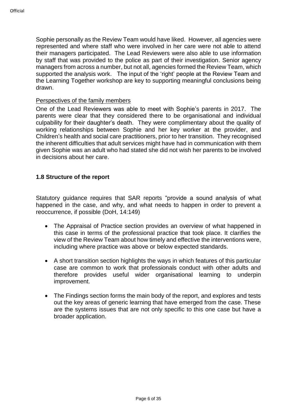Sophie personally as the Review Team would have liked. However, all agencies were represented and where staff who were involved in her care were not able to attend their managers participated. The Lead Reviewers were also able to use information by staff that was provided to the police as part of their investigation. Senior agency managers from across a number, but not all, agencies formed the Review Team, which supported the analysis work. The input of the 'right' people at the Review Team and the Learning Together workshop are key to supporting meaningful conclusions being drawn.

#### Perspectives of the family members

One of the Lead Reviewers was able to meet with Sophie's parents in 2017. The parents were clear that they considered there to be organisational and individual culpability for their daughter's death. They were complimentary about the quality of working relationships between Sophie and her key worker at the provider, and Children's health and social care practitioners, prior to her transition. They recognised the inherent difficulties that adult services might have had in communication with them given Sophie was an adult who had stated she did not wish her parents to be involved in decisions about her care.

#### **1.8 Structure of the report**

Statutory guidance requires that SAR reports "provide a sound analysis of what happened in the case, and why, and what needs to happen in order to prevent a reoccurrence, if possible (DoH, 14:149)

- The Appraisal of Practice section provides an overview of what happened in this case in terms of the professional practice that took place. It clarifies the view of the Review Team about how timely and effective the interventions were, including where practice was above or below expected standards.
- A short transition section highlights the ways in which features of this particular case are common to work that professionals conduct with other adults and therefore provides useful wider organisational learning to underpin improvement.
- The Findings section forms the main body of the report, and explores and tests out the key areas of generic learning that have emerged from the case. These are the systems issues that are not only specific to this one case but have a broader application.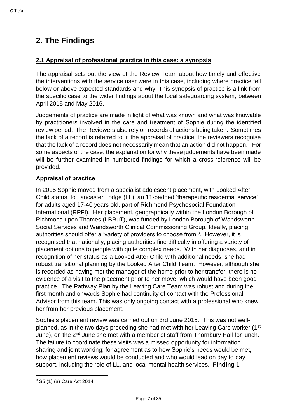## **2. The Findings**

#### **2.1 Appraisal of professional practice in this case: a synopsis**

The appraisal sets out the view of the Review Team about how timely and effective the interventions with the service user were in this case, including where practice fell below or above expected standards and why. This synopsis of practice is a link from the specific case to the wider findings about the local safeguarding system, between April 2015 and May 2016.

Judgements of practice are made in light of what was known and what was knowable by practitioners involved in the care and treatment of Sophie during the identified review period. The Reviewers also rely on records of actions being taken. Sometimes the lack of a record is referred to in the appraisal of practice; the reviewers recognise that the lack of a record does not necessarily mean that an action did not happen. For some aspects of the case, the explanation for why these judgements have been made will be further examined in numbered findings for which a cross-reference will be provided.

#### **Appraisal of practice**

In 2015 Sophie moved from a specialist adolescent placement, with Looked After Child status, to Lancaster Lodge (LL), an 11-bedded 'therapeutic residential service' for adults aged 17-40 years old, part of Richmond Psychosocial Foundation International (RPFI). Her placement, geographically within the London Borough of Richmond upon Thames (LBRuT), was funded by London Borough of Wandsworth Social Services and Wandsworth Clinical Commissioning Group. Ideally, placing authorities should offer a 'variety of providers to choose from'<sup>3</sup> . However, it is recognised that nationally, placing authorities find difficulty in offering a variety of placement options to people with quite complex needs. With her diagnoses, and in recognition of her status as a Looked After Child with additional needs, she had robust transitional planning by the Looked After Child Team. However, although she is recorded as having met the manager of the home prior to her transfer, there is no evidence of a visit to the placement prior to her move, which would have been good practice. The Pathway Plan by the Leaving Care Team was robust and during the first month and onwards Sophie had continuity of contact with the Professional Advisor from this team. This was only ongoing contact with a professional who knew her from her previous placement.

Sophie's placement review was carried out on 3rd June 2015. This was not wellplanned, as in the two days preceding she had met with her Leaving Care worker (1<sup>st</sup>) June), on the 2<sup>nd</sup> June she met with a member of staff from Thornbury Hall for lunch. The failure to coordinate these visits was a missed opportunity for information sharing and joint working; for agreement as to how Sophie's needs would be met, how placement reviews would be conducted and who would lead on day to day support, including the role of LL, and local mental health services. **Finding 1**

<sup>1</sup> <sup>3</sup> S5 (1) (a) Care Act 2014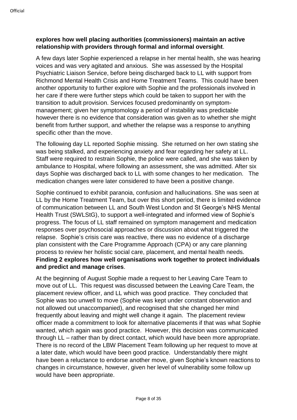#### **explores how well placing authorities (commissioners) maintain an active relationship with providers through formal and informal oversight**.

A few days later Sophie experienced a relapse in her mental health, she was hearing voices and was very agitated and anxious. She was assessed by the Hospital Psychiatric Liaison Service, before being discharged back to LL with support from Richmond Mental Health Crisis and Home Treatment Teams. This could have been another opportunity to further explore with Sophie and the professionals involved in her care if there were further steps which could be taken to support her with the transition to adult provision. Services focused predominantly on symptommanagement; given her symptomology a period of instability was predictable however there is no evidence that consideration was given as to whether she might benefit from further support, and whether the relapse was a response to anything specific other than the move.

The following day LL reported Sophie missing. She returned on her own stating she was being stalked, and experiencing anxiety and fear regarding her safety at LL. Staff were required to restrain Sophie, the police were called, and she was taken by ambulance to Hospital, where following an assessment, she was admitted. After six days Sophie was discharged back to LL with some changes to her medication. The medication changes were later considered to have been a positive change.

Sophie continued to exhibit paranoia, confusion and hallucinations. She was seen at LL by the Home Treatment Team, but over this short period, there is limited evidence of communication between LL and South West London and St George's NHS Mental Health Trust (SWLStG), to support a well-integrated and informed view of Sophie's progress. The focus of LL staff remained on symptom management and medication responses over psychosocial approaches or discussion about what triggered the relapse. Sophie's crisis care was reactive, there was no evidence of a discharge plan consistent with the Care Programme Approach (CPA) or any care planning process to review her holistic social care, placement, and mental health needs. **Finding 2 explores how well organisations work together to protect individuals and predict and manage crises**.

At the beginning of August Sophie made a request to her Leaving Care Team to move out of LL. This request was discussed between the Leaving Care Team, the placement review officer, and LL which was good practice. They concluded that Sophie was too unwell to move (Sophie was kept under constant observation and not allowed out unaccompanied), and recognised that she changed her mind frequently about leaving and might well change it again. The placement review officer made a commitment to look for alternative placements if that was what Sophie wanted, which again was good practice. However, this decision was communicated through LL – rather than by direct contact, which would have been more appropriate. There is no record of the LBW Placement Team following up her request to move at a later date, which would have been good practice. Understandably there might have been a reluctance to endorse another move, given Sophie's known reactions to changes in circumstance, however, given her level of vulnerability some follow up would have been appropriate.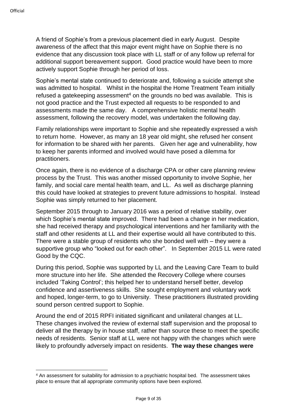1

A friend of Sophie's from a previous placement died in early August. Despite awareness of the affect that this major event might have on Sophie there is no evidence that any discussion took place with LL staff or of any follow up referral for additional support bereavement support. Good practice would have been to more actively support Sophie through her period of loss.

Sophie's mental state continued to deteriorate and, following a suicide attempt she was admitted to hospital. Whilst in the hospital the Home Treatment Team initially refused a gatekeeping assessment<sup>4</sup> on the grounds no bed was available. This is not good practice and the Trust expected all requests to be responded to and assessments made the same day. A comprehensive holistic mental health assessment, following the recovery model, was undertaken the following day.

Family relationships were important to Sophie and she repeatedly expressed a wish to return home. However, as many an 18 year old might, she refused her consent for information to be shared with her parents. Given her age and vulnerability, how to keep her parents informed and involved would have posed a dilemma for practitioners.

Once again, there is no evidence of a discharge CPA or other care planning review process by the Trust. This was another missed opportunity to involve Sophie, her family, and social care mental health team, and LL. As well as discharge planning this could have looked at strategies to prevent future admissions to hospital. Instead Sophie was simply returned to her placement.

September 2015 through to January 2016 was a period of relative stability, over which Sophie's mental state improved. There had been a change in her medication, she had received therapy and psychological interventions and her familiarity with the staff and other residents at LL and their expertise would all have contributed to this. There were a stable group of residents who she bonded well with – they were a supportive group who "looked out for each other". In September 2015 LL were rated Good by the CQC.

During this period, Sophie was supported by LL and the Leaving Care Team to build more structure into her life. She attended the Recovery College where courses included 'Taking Control'; this helped her to understand herself better, develop confidence and assertiveness skills. She sought employment and voluntary work and hoped, longer-term, to go to University. These practitioners illustrated providing sound person centred support to Sophie.

Around the end of 2015 RPFI initiated significant and unilateral changes at LL. These changes involved the review of external staff supervision and the proposal to deliver all the therapy by in house staff, rather than source these to meet the specific needs of residents. Senior staff at LL were not happy with the changes which were likely to profoundly adversely impact on residents. **The way these changes were** 

<sup>4</sup> An assessment for suitability for admission to a psychiatric hospital bed. The assessment takes place to ensure that all appropriate community options have been explored.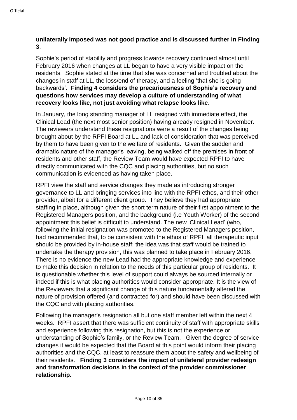#### **unilaterally imposed was not good practice and is discussed further in Finding 3**.

Sophie's period of stability and progress towards recovery continued almost until February 2016 when changes at LL began to have a very visible impact on the residents. Sophie stated at the time that she was concerned and troubled about the changes in staff at LL, the loss/end of therapy, and a feeling 'that she is going backwards'. **Finding 4 considers the precariousness of Sophie's recovery and questions how services may develop a culture of understanding of what recovery looks like, not just avoiding what relapse looks like**.

In January, the long standing manager of LL resigned with immediate effect, the Clinical Lead (the next most senior position) having already resigned in November. The reviewers understand these resignations were a result of the changes being brought about by the RPFI Board at LL and lack of consideration that was perceived by them to have been given to the welfare of residents. Given the sudden and dramatic nature of the manager's leaving, being walked off the premises in front of residents and other staff, the Review Team would have expected RPFI to have directly communicated with the CQC and placing authorities, but no such communication is evidenced as having taken place.

RPFI view the staff and service changes they made as introducing stronger governance to LL and bringing services into line with the RPFI ethos, and their other provider, albeit for a different client group. They believe they had appropriate staffing in place, although given the short term nature of their first appointment to the Registered Managers position, and the background (i.e Youth Worker) of the second appointment this belief is difficult to understand. The new 'Clinical Lead' (who, following the initial resignation was promoted to the Registered Managers position, had recommended that, to be consistent with the ethos of RPFI, all therapeutic input should be provided by in-house staff; the idea was that staff would be trained to undertake the therapy provision, this was planned to take place in February 2016. There is no evidence the new Lead had the appropriate knowledge and experience to make this decision in relation to the needs of this particular group of residents. It is questionable whether this level of support could always be sourced internally or indeed if this is what placing authorities would consider appropriate. It is the view of the Reviewers that a significant change of this nature fundamentally altered the nature of provision offered (and contracted for) and should have been discussed with the CQC and with placing authorities.

Following the manager's resignation all but one staff member left within the next 4 weeks. RPFI assert that there was sufficient continuity of staff with appropriate skills and experience following this resignation, but this is not the experience or understanding of Sophie's family, or the Review Team. Given the degree of service changes it would be expected that the Board at this point would inform their placing authorities and the CQC, at least to reassure them about the safety and wellbeing of their residents. **Finding 3 considers the impact of unilateral provider redesign and transformation decisions in the context of the provider commissioner relationship.**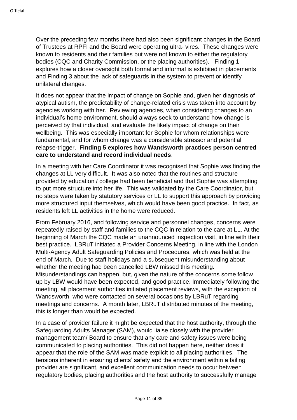Over the preceding few months there had also been significant changes in the Board of Trustees at RPFI and the Board were operating ultra- vires. These changes were known to residents and their families but were not known to either the regulatory bodies (CQC and Charity Commission, or the placing authorities). Finding 1 explores how a closer oversight both formal and informal is exhibited in placements and Finding 3 about the lack of safeguards in the system to prevent or identify unilateral changes.

It does not appear that the impact of change on Sophie and, given her diagnosis of atypical autism, the predictability of change-related crisis was taken into account by agencies working with her. Reviewing agencies, when considering changes to an individual's home environment, should always seek to understand how change is perceived by that individual, and evaluate the likely impact of change on their wellbeing. This was especially important for Sophie for whom relationships were fundamental, and for whom change was a considerable stressor and potential relapse-trigger. **Finding 5 explores how Wandsworth practices person centred care to understand and record individual needs**.

In a meeting with her Care Coordinator it was recognised that Sophie was finding the changes at LL very difficult. It was also noted that the routines and structure provided by education / college had been beneficial and that Sophie was attempting to put more structure into her life. This was validated by the Care Coordinator, but no steps were taken by statutory services or LL to support this approach by providing more structured input themselves, which would have been good practice. In fact, as residents left LL activities in the home were reduced.

From February 2016, and following service and personnel changes, concerns were repeatedly raised by staff and families to the CQC in relation to the care at LL. At the beginning of March the CQC made an unannounced inspection visit, in line with their best practice. LBRuT initiated a Provider Concerns Meeting, in line with the London Multi-Agency Adult Safeguarding Policies and Procedures, which was held at the end of March. Due to staff holidays and a subsequent misunderstanding about whether the meeting had been cancelled LBW missed this meeting. Misunderstandings can happen, but, given the nature of the concerns some follow up by LBW would have been expected, and good practice. Immediately following the meeting, all placement authorities initiated placement reviews, with the exception of Wandsworth, who were contacted on several occasions by LBRuT regarding meetings and concerns. A month later, LBRuT distributed minutes of the meeting, this is longer than would be expected.

In a case of provider failure it might be expected that the host authority, through the Safeguarding Adults Manager (SAM), would liaise closely with the provider management team/ Board to ensure that any care and safety issues were being communicated to placing authorities. This did not happen here, neither does it appear that the role of the SAM was made explicit to all placing authorities. The tensions inherent in ensuring clients' safety and the environment within a failing provider are significant, and excellent communication needs to occur between regulatory bodies, placing authorities and the host authority to successfully manage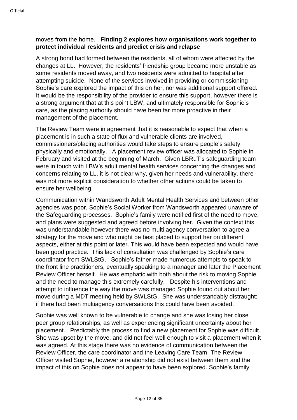#### moves from the home. **Finding 2 explores how organisations work together to protect individual residents and predict crisis and relapse**.

A strong bond had formed between the residents, all of whom were affected by the changes at LL. However, the residents' friendship group became more unstable as some residents moved away, and two residents were admitted to hospital after attempting suicide. None of the services involved in providing or commissioning Sophie's care explored the impact of this on her, nor was additional support offered. It would be the responsibility of the provider to ensure this support, however there is a strong argument that at this point LBW, and ultimately responsible for Sophie's care, as the placing authority should have been far more proactive in their management of the placement.

The Review Team were in agreement that it is reasonable to expect that when a placement is in such a state of flux and vulnerable clients are involved, commissioners/placing authorities would take steps to ensure people's safety, physically and emotionally. A placement review officer was allocated to Sophie in February and visited at the beginning of March. Given LBRuT's safeguarding team were in touch with LBW's adult mental health services concerning the changes and concerns relating to LL, it is not clear why, given her needs and vulnerability, there was not more explicit consideration to whether other actions could be taken to ensure her wellbeing.

Communication within Wandsworth Adult Mental Health Services and between other agencies was poor, Sophie's Social Worker from Wandsworth appeared unaware of the Safeguarding processes. Sophie's family were notified first of the need to move, and plans were suggested and agreed before involving her. Given the context this was understandable however there was no multi agency conversation to agree a strategy for the move and who might be best placed to support her on different aspects, either at this point or later. This would have been expected and would have been good practice. This lack of consultation was challenged by Sophie's care coordinator from SWLStG. Sophie's father made numerous attempts to speak to the front line practitioners, eventually speaking to a manager and later the Placement Review Officer herself. He was emphatic with both about the risk to moving Sophie and the need to manage this extremely carefully, Despite his interventions and attempt to influence the way the move was managed Sophie found out about her move during a MDT meeting held by SWLStG. She was understandably distraught; if there had been multiagency conversations this could have been avoided.

Sophie was well known to be vulnerable to change and she was losing her close peer group relationships, as well as experiencing significant uncertainty about her placement. Predictably the process to find a new placement for Sophie was difficult. She was upset by the move, and did not feel well enough to visit a placement when it was agreed. At this stage there was no evidence of communication between the Review Officer, the care coordinator and the Leaving Care Team. The Review Officer visited Sophie, however a relationship did not exist between them and the impact of this on Sophie does not appear to have been explored. Sophie's family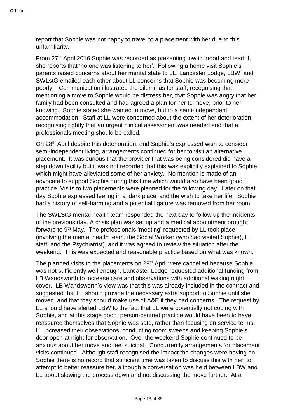report that Sophie was not happy to travel to a placement with her due to this unfamiliarity.

From 27th April 2016 Sophie was recorded as presenting low in mood and tearful, she reports that 'no one was listening to her'. Following a home visit Sophie's parents raised concerns about her mental state to LL. Lancaster Lodge, LBW, and SWLstG emailed each other about LL concerns that Sophie was becoming more poorly. Communication illustrated the dilemmas for staff; recognising that mentioning a move to Sophie would be distress her, that Sophie was angry that her family had been consulted and had agreed a plan for her to move, prior to her knowing. Sophie stated she wanted to move, but to a semi-independent accommodation. Staff at LL were concerned about the extent of her deterioration, recognising rightly that an urgent clinical assessment was needed and that a professionals meeting should be called.

On 28<sup>th</sup> April despite this deterioration, and Sophie's expressed wish to consider semi-independent living, arrangements continued for her to visit an alternative placement. It was curious that the provider that was being considered did have a step down facility but it was not recorded that this was explicitly explained to Sophie, which might have alleviated some of her anxiety. No mention is made of an advocate to support Sophie during this time which would also have been good practice. Visits to two placements were planned for the following day. Later on that day Sophie expressed feeling in a 'dark place' and the wish to take her life. Sophie had a history of self-harming and a potential ligature was removed from her room.

The SWLStG mental health team responded the next day to follow up the incidents of the previous day. A crisis plan was set up and a medical appointment brought forward to 9<sup>th</sup> May. The professionals 'meeting' requested by LL took place (involving the mental health team, the Social Worker (who had visited Sophie), LL staff, and the Psychiatrist), and it was agreed to review the situation after the weekend. This was expected and reasonable practice based on what was known.

The planned visits to the placements on 29<sup>th</sup> April were cancelled because Sophie was not sufficiently well enough. Lancaster Lodge requested additional funding from LB Wandsworth to increase care and observations with additional waking night cover. LB Wandsworth's view was that this was already included in the contract and suggested that LL should provide the necessary extra support to Sophie until she moved, and that they should make use of A&E if they had concerns. The request by LL should have alerted LBW to the fact that LL were potentially not coping with Sophie, and at this stage good, person-centred practice would have been to have reassured themselves that Sophie was safe, rather than focusing on service terms. LL increased their observations, conducting room sweeps and keeping Sophie's door open at night for observation. Over the weekend Sophie continued to be anxious about her move and feel suicidal. Concurrently arrangements for placement visits continued. Although staff recognised the impact the changes were having on Sophie there is no record that sufficient time was taken to discuss this with her, to attempt to better reassure her, although a conversation was held between LBW and LL about slowing the process down and not discussing the move further. At a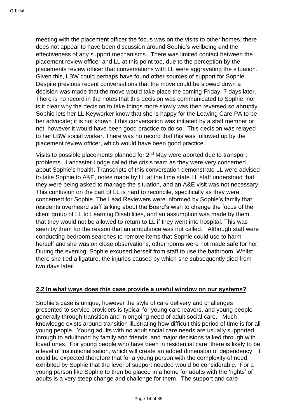meeting with the placement officer the focus was on the visits to other homes, there does not appear to have been discussion around Sophie's wellbeing and the effectiveness of any support mechanisms. There was limited contact between the placement review officer and LL at this point too, due to the perception by the placements review officer that conversations with LL were aggravating the situation. Given this, LBW could perhaps have found other sources of support for Sophie. Despite previous recent conversations that the move could be slowed down a decision was made that the move would take place the coming Friday, 7 days later. There is no record in the notes that this decision was communicated to Sophie, nor is it clear why the decision to take things more slowly was then reversed so abruptly. Sophie lets her LL Keyworker know that she is happy for the Leaving Care PA to be her advocate; it is not known if this conversation was initiated by a staff member or not, however it would have been good practice to do so. This decision was relayed to her LBW social worker. There was no record that this was followed up by the placement review officer, which would have been good practice.

Visits to possible placements planned for 2<sup>nd</sup> May were aborted due to transport problems. Lancaster Lodge called the crisis team as they were very concerned about Sophie's health. Transcripts of this conversation demonstrate LL were advised to take Sophie to A&E, notes made by LL at the time state LL staff understood that they were being asked to manage the situation, and an A&E visit was not necessary. This confusion on the part of LL is hard to reconcile, specifically as they were concerned for Sophie. The Lead Reviewers were informed by Sophie's family that residents overheard staff talking about the Board's wish to change the focus of the client group of LL to Learning Disabilities, and an assumption was made by them that they would not be allowed to return to LL if they went into hospital. This was seen by them for the reason that an ambulance was not called. Although staff were conducting bedroom searches to remove items that Sophie could use to harm herself and she was on close observations, other rooms were not made safe for her. During the evening, Sophie excused herself from staff to use the bathroom. Whilst there she tied a ligature, the injuries caused by which she subsequently died from two days later.

#### **2.2 In what ways does this case provide a useful window on our systems?**

Sophie's case is unique, however the style of care delivery and challenges presented to service providers is typical for young care leavers, and young people generally through transition and in ongoing need of adult social care. Much knowledge exists around transition illustrating how difficult this period of time is for all young people. Young adults with no adult social care needs are usually supported through to adulthood by family and friends, and major decisions talked through with loved ones. For young people who have been in residential care, there is likely to be a level of institutionalisation, which will create an added dimension of dependency. It could be expected therefore that for a young person with the complexity of need exhibited by Sophie that the level of support needed would be considerable. For a young person like Sophie to then be placed in a home for adults with the 'rights' of adults is a very steep change and challenge for them. The support and care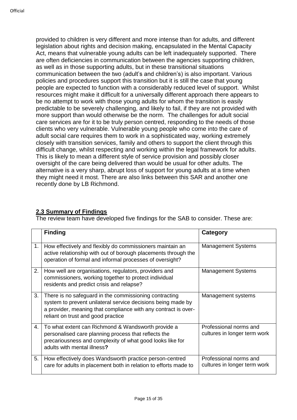provided to children is very different and more intense than for adults, and different legislation about rights and decision making, encapsulated in the Mental Capacity Act, means that vulnerable young adults can be left inadequately supported. There are often deficiencies in communication between the agencies supporting children, as well as in those supporting adults, but in these transitional situations communication between the two (adult's and children's) is also important. Various policies and procedures support this transition but it is still the case that young people are expected to function with a considerably reduced level of support. Whilst resources might make it difficult for a universally different approach there appears to be no attempt to work with those young adults for whom the transition is easily predictable to be severely challenging, and likely to fail, if they are not provided with more support than would otherwise be the norm. The challenges for adult social care services are for it to be truly person centred, responding to the needs of those clients who very vulnerable. Vulnerable young people who come into the care of adult social care requires them to work in a sophisticated way, working extremely closely with transition services, family and others to support the client through this difficult change, whilst respecting and working within the legal framework for adults. This is likely to mean a different style of service provision and possibly closer oversight of the care being delivered than would be usual for other adults. The alternative is a very sharp, abrupt loss of support for young adults at a time when they might need it most. There are also links between this SAR and another one recently done by LB Richmond.

#### **2.3 Summary of Findings**

The review team have developed five findings for the SAB to consider. These are:

|    | <b>Finding</b>                                                                                                                                                                                                                 | <b>Category</b>                                        |
|----|--------------------------------------------------------------------------------------------------------------------------------------------------------------------------------------------------------------------------------|--------------------------------------------------------|
| 1. | How effectively and flexibly do commissioners maintain an<br>active relationship with out of borough placements through the<br>operation of formal and informal processes of oversight?                                        | <b>Management Systems</b>                              |
| 2. | How well are organisations, regulators, providers and<br>commissioners, working together to protect individual<br>residents and predict crisis and relapse?                                                                    | <b>Management Systems</b>                              |
| 3. | There is no safeguard in the commissioning contracting<br>system to prevent unilateral service decisions being made by<br>a provider, meaning that compliance with any contract is over-<br>reliant on trust and good practice | Management systems                                     |
| 4. | To what extent can Richmond & Wandsworth provide a<br>personalised care planning process that reflects the<br>precariousness and complexity of what good looks like for<br>adults with mental illness?                         | Professional norms and<br>cultures in longer term work |
| 5. | How effectively does Wandsworth practice person-centred<br>care for adults in placement both in relation to efforts made to                                                                                                    | Professional norms and<br>cultures in longer term work |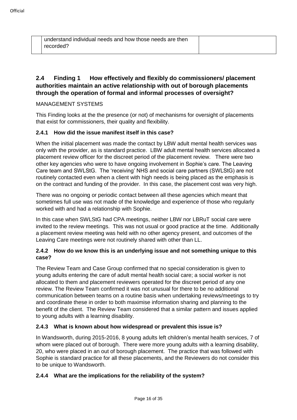| understand individual needs and how those needs are then |  |
|----------------------------------------------------------|--|
| recorded?                                                |  |
|                                                          |  |

#### **2.4 Finding 1 How effectively and flexibly do commissioners/ placement authorities maintain an active relationship with out of borough placements through the operation of formal and informal processes of oversight?**

#### MANAGEMENT SYSTEMS

This Finding looks at the the presence (or not) of mechanisms for oversight of placements that exist for commissioners, their quality and flexibility.

#### **2.4.1 How did the issue manifest itself in this case?**

When the initial placement was made the contact by LBW adult mental health services was only with the provider, as is standard practice. LBW adult mental health services allocated a placement review officer for the discreet period of the placement review. There were two other key agencies who were to have ongoing involvement in Sophie's care. The Leaving Care team and SWLStG. The 'receiving' NHS and social care partners (SWLStG) are not routinely contacted even when a client with high needs is being placed as the emphasis is on the contract and funding of the provider. In this case, the placement cost was very high.

There was no ongoing or periodic contact between all these agencies which meant that sometimes full use was not made of the knowledge and experience of those who regularly worked with and had a relationship with Sophie.

In this case when SWLStG had CPA meetings, neither LBW nor LBRuT social care were invited to the review meetings. This was not usual or good practice at the time. Additionally a placement review meeting was held with no other agency present, and outcomes of the Leaving Care meetings were not routinely shared with other than LL.

#### **2.4.2 How do we know this is an underlying issue and not something unique to this case?**

The Review Team and Case Group confirmed that no special consideration is given to young adults entering the care of adult mental health social care; a social worker is not allocated to them and placement reviewers operated for the discreet period of any one review. The Review Team confirmed it was not unusual for there to be no additional communication between teams on a routine basis when undertaking reviews/meetings to try and coordinate these in order to both maximise information sharing and planning to the benefit of the client. The Review Team considered that a similar pattern and issues applied to young adults with a learning disability.

#### **2.4.3 What is known about how widespread or prevalent this issue is?**

In Wandsworth, during 2015-2016, 8 young adults left children's mental health services, 7 of whom were placed out of borough. There were more young adults with a learning disability, 20, who were placed in an out of borough placement. The practice that was followed with Sophie is standard practice for all these placements, and the Reviewers do not consider this to be unique to Wandsworth.

#### **2.4.4 What are the implications for the reliability of the system?**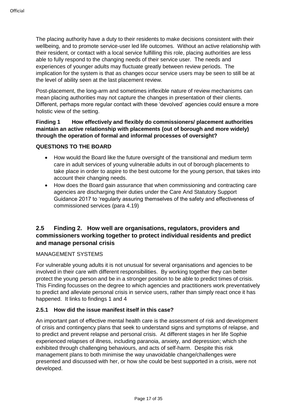The placing authority have a duty to their residents to make decisions consistent with their wellbeing, and to promote service-user led life outcomes. Without an active relationship with their resident, or contact with a local service fulfilling this role, placing authorities are less able to fully respond to the changing needs of their service user. The needs and experiences of younger adults may fluctuate greatly between review periods. The implication for the system is that as changes occur service users may be seen to still be at the level of ability seen at the last placement review.

Post-placement, the long-arm and sometimes inflexible nature of review mechanisms can mean placing authorities may not capture the changes in presentation of their clients. Different, perhaps more regular contact with these 'devolved' agencies could ensure a more holistic view of the setting.

#### **Finding 1 How effectively and flexibly do commissioners/ placement authorities maintain an active relationship with placements (out of borough and more widely) through the operation of formal and informal processes of oversight?**

#### **QUESTIONS TO THE BOARD**

- How would the Board like the future oversight of the transitional and medium term care in adult services of young vulnerable adults in out of borough placements to take place in order to aspire to the best outcome for the young person, that takes into account their changing needs.
- How does the Board gain assurance that when commissioning and contracting care agencies are discharging their duties under the Care And Statutory Support Guidance 2017 to 'regularly assuring themselves of the safety and effectiveness of commissioned services (para 4.19)

#### **2.5 Finding 2. How well are organisations, regulators, providers and commissioners working together to protect individual residents and predict and manage personal crisis**

#### MANAGEMENT SYSTEMS

For vulnerable young adults it is not unusual for several organisations and agencies to be involved in their care with different responsibilities. By working together they can better protect the young person and be in a stronger position to be able to predict times of crisis. This Finding focusses on the degree to which agencies and practitioners work preventatively to predict and alleviate personal crisis in service users, rather than simply react once it has happened. It links to findings 1 and 4

#### **2.5.1 How did the issue manifest itself in this case?**

An important part of effective mental health care is the assessment of risk and development of crisis and contingency plans that seek to understand signs and symptoms of relapse, and to predict and prevent relapse and personal crisis. At different stages in her life Sophie experienced relapses of illness, including paranoia, anxiety, and depression; which she exhibited through challenging behaviours, and acts of self-harm. Despite this risk management plans to both minimise the way unavoidable change/challenges were presented and discussed with her, or how she could be best supported in a crisis, were not developed.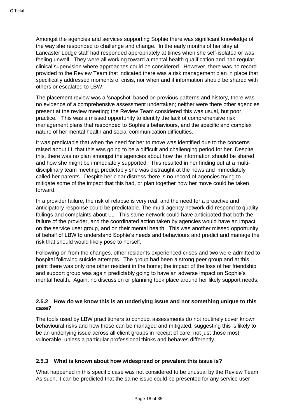Amongst the agencies and services supporting Sophie there was significant knowledge of the way she responded to challenge and change. In the early months of her stay at Lancaster Lodge staff had responded appropriately at times when she self-isolated or was feeling unwell. They were all working toward a mental health qualification and had regular clinical supervision where approaches could be considered. However, there was no record provided to the Review Team that indicated there was a risk management plan in place that specifically addressed moments of crisis, nor when and if information should be shared with others or escalated to LBW.

The placement review was a 'snapshot' based on previous patterns and history, there was no evidence of a comprehensive assessment undertaken; neither were there other agencies present at the review meeting; the Review Team considered this was usual, but poor, practice. This was a missed opportunity to identify the lack of comprehensive risk management plans that responded to Sophie's behaviours, and the specific and complex nature of her mental health and social communication difficulties.

It was predictable that when the need for her to move was identified due to the concerns raised about LL that this was going to be a difficult and challenging period for her. Despite this, there was no plan amongst the agencies about how the information should be shared and how she might be immediately supported. This resulted in her finding out at a multidisciplinary team meeting; predictably she was distraught at the news and immediately called her parents. Despite her clear distress there is no record of agencies trying to mitigate some of the impact that this had, or plan together how her move could be taken forward.

In a provider failure, the risk of relapse is very real, and the need for a proactive and anticipatory response could be predictable. The multi-agency network did respond to quality failings and complaints about LL. This same network could have anticipated that both the failure of the provider, and the coordinated action taken by agencies would have an impact on the service user group, and on their mental health. This was another missed opportunity of behalf of LBW to understand Sophie's needs and behaviours and predict and manage the risk that should would likely pose to herself.

Following on from the changes, other residents experienced crises and two were admitted to hospital following suicide attempts. The group had been a strong peer group and at this point there was only one other resident in the home; the impact of the loss of her friendship and support group was again predictably going to have an adverse impact on Sophie's mental health. Again, no discussion or planning took place around her likely support needs.

#### **2.5.2 How do we know this is an underlying issue and not something unique to this case?**

The tools used by LBW practitioners to conduct assessments do not routinely cover known behavioural risks and how these can be managed and mitigated, suggesting this is likely to be an underlying issue across all client groups in receipt of care, not just those most vulnerable, unless a particular professional thinks and behaves differently.

#### **2.5.3 What is known about how widespread or prevalent this issue is?**

What happened in this specific case was not considered to be unusual by the Review Team. As such, it can be predicted that the same issue could be presented for any service user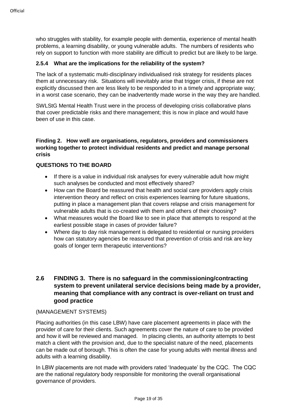who struggles with stability, for example people with dementia, experience of mental health problems, a learning disability, or young vulnerable adults. The numbers of residents who rely on support to function with more stability are difficult to predict but are likely to be large.

#### **2.5.4 What are the implications for the reliability of the system?**

The lack of a systematic multi-disciplinary individualised risk strategy for residents places them at unnecessary risk. Situations will inevitably arise that trigger crisis, if these are not explicitly discussed then are less likely to be responded to in a timely and appropriate way; in a worst case scenario, they can be inadvertently made worse in the way they are handled.

SWLStG Mental Health Trust were in the process of developing crisis collaborative plans that cover predictable risks and there management; this is now in place and would have been of use in this case.

#### **Finding 2. How well are organisations, regulators, providers and commissioners working together to protect individual residents and predict and manage personal crisis**

#### **QUESTIONS TO THE BOARD**

- If there is a value in individual risk analyses for every vulnerable adult how might such analyses be conducted and most effectively shared?
- How can the Board be reassured that health and social care providers apply crisis intervention theory and reflect on crisis experiences learning for future situations, putting in place a management plan that covers relapse and crisis management for vulnerable adults that is co-created with them and others of their choosing?
- What measures would the Board like to see in place that attempts to respond at the earliest possible stage in cases of provider failure?
- Where day to day risk management is delegated to residential or nursing providers how can statutory agencies be reassured that prevention of crisis and risk are key goals of longer term therapeutic interventions?

#### **2.6 FINDING 3. There is no safeguard in the commissioning/contracting system to prevent unilateral service decisions being made by a provider, meaning that compliance with any contract is over-reliant on trust and good practice**

#### (MANAGEMENT SYSTEMS)

Placing authorities (in this case LBW) have care placement agreements in place with the provider of care for their clients. Such agreements cover the nature of care to be provided and how it will be reviewed and managed. In placing clients, an authority attempts to best match a client with the provision and, due to the specialist nature of the need, placements can be made out of borough. This is often the case for young adults with mental illness and adults with a learning disability.

In LBW placements are not made with providers rated 'Inadequate' by the CQC. The CQC are the national regulatory body responsible for monitoring the overall organisational governance of providers.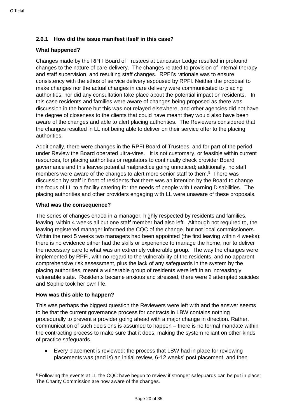#### **2.6.1 How did the issue manifest itself in this case?**

#### **What happened?**

Changes made by the RPFI Board of Trustees at Lancaster Lodge resulted in profound changes to the nature of care delivery. The changes related to provision of internal therapy and staff supervision, and resulting staff changes. RPFI's rationale was to ensure consistency with the ethos of service delivery espoused by RPFI. Neither the proposal to make changes nor the actual changes in care delivery were communicated to placing authorities, nor did any consultation take place about the potential impact on residents. In this case residents and families were aware of changes being proposed as there was discussion in the home but this was not relayed elsewhere, and other agencies did not have the degree of closeness to the clients that could have meant they would also have been aware of the changes and able to alert placing authorities. The Reviewers considered that the changes resulted in LL not being able to deliver on their service offer to the placing authorities.

Additionally, there were changes in the RPFI Board of Trustees, and for part of the period under Review the Board operated ultra-vires. It is not customary, or feasible within current resources, for placing authorities or regulators to continually check provider Board governance and this leaves potential malpractice going unnoticed; additionally, no staff members were aware of the changes to alert more senior staff to them.<sup>5</sup> There was discussion by staff in front of residents that there was an intention by the Board to change the focus of LL to a facility catering for the needs of people with Learning Disabilities. The placing authorities and other providers engaging with LL were unaware of these proposals.

#### **What was the consequence?**

The series of changes ended in a manager, highly respected by residents and families, leaving; within 4 weeks all but one staff member had also left. Although not required to, the leaving registered manager informed the CQC of the change, but not local commissioners. Within the next 5 weeks two managers had been appointed (the first leaving within 4 weeks); there is no evidence either had the skills or experience to manage the home, nor to deliver the necessary care to what was an extremely vulnerable group. The way the changes were implemented by RPFI, with no regard to the vulnerability of the residents, and no apparent comprehensive risk assessment, plus the lack of any safeguards in the system by the placing authorities, meant a vulnerable group of residents were left in an increasingly vulnerable state. Residents became anxious and stressed, there were 2 attempted suicides and Sophie took her own life.

#### **How was this able to happen?**

This was perhaps the biggest question the Reviewers were left with and the answer seems to be that the current governance process for contracts in LBW contains nothing procedurally to prevent a provider going ahead with a major change in direction. Rather, communication of such decisions is assumed to happen – there is no formal mandate within the contracting process to make sure that it does, making the system reliant on other kinds of practice safeguards.

• Every placement is reviewed: the process that LBW had in place for reviewing placements was (and is) an initial review, 6-12 weeks' post placement, and then

<sup>1</sup> <sup>5</sup> Following the events at LL the CQC have begun to review if stronger safeguards can be put in place; The Charity Commission are now aware of the changes.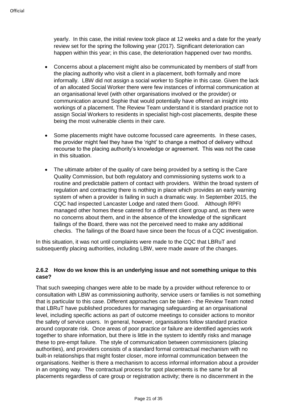yearly. In this case, the initial review took place at 12 weeks and a date for the yearly review set for the spring the following year (2017). Significant deterioration can happen within this year; in this case, the deterioration happened over two months.

- Concerns about a placement might also be communicated by members of staff from the placing authority who visit a client in a placement, both formally and more informally. LBW did not assign a social worker to Sophie in this case. Given the lack of an allocated Social Worker there were few instances of informal communication at an organisational level (with other organisations involved or the provider) or communication around Sophie that would potentially have offered an insight into workings of a placement. The Review Team understand it is standard practice not to assign Social Workers to residents in specialist high-cost placements, despite these being the most vulnerable clients in their care.
- Some placements might have outcome focussed care agreements. In these cases, the provider might feel they have the 'right' to change a method of delivery without recourse to the placing authority's knowledge or agreement. This was not the case in this situation.
- The ultimate arbiter of the quality of care being provided by a setting is the Care Quality Commission, but both regulatory and commissioning systems work to a routine and predictable pattern of contact with providers. Within the broad system of regulation and contracting there is nothing in place which provides an early warning system of when a provider is failing in such a dramatic way. In September 2015, the CQC had inspected Lancaster Lodge and rated them Good. Although RPFI managed other homes these catered for a different client group and, as there were no concerns about them, and in the absence of the knowledge of the significant failings of the Board, there was not the perceived need to make any additional checks. The failings of the Board have since been the focus of a CQC investigation.

In this situation, it was not until complaints were made to the CQC that LBRuT and subsequently placing authorities, including LBW, were made aware of the changes.

#### **2.6.2 How do we know this is an underlying issue and not something unique to this case?**

That such sweeping changes were able to be made by a provider without reference to or consultation with LBW as commissioning authority, service users or families is not something that is particular to this case. Different approaches can be taken - the Review Team noted that LBRuT have published procedures for managing safeguarding at an organisational level, including specific actions as part of outcome meetings to consider actions to monitor the safety of service users. In general, however, organisations follow standard practice around corporate risk. Once areas of poor practice or failure are identified agencies work together to share information, but there is little in the system to identify risks and manage these to pre-empt failure. The style of communication between commissioners (placing authorities), and providers consists of a standard formal contractual mechanism with no built-in relationships that might foster closer, more informal communication between the organisations. Neither is there a mechanism to access informal information about a provider in an ongoing way. The contractual process for spot placements is the same for all placements regardless of care group or registration activity; there is no discernment in the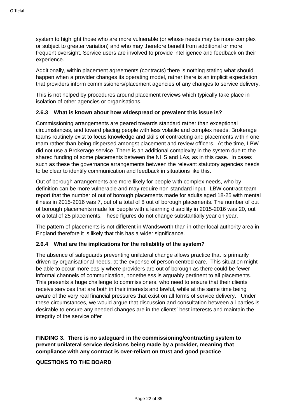system to highlight those who are more vulnerable (or whose needs may be more complex or subject to greater variation) and who may therefore benefit from additional or more frequent oversight. Service users are involved to provide intelligence and feedback on their experience.

Additionally, within placement agreements (contracts) there is nothing stating what should happen when a provider changes its operating model, rather there is an implicit expectation that providers inform commissioners/placement agencies of any changes to service delivery.

This is not helped by procedures around placement reviews which typically take place in isolation of other agencies or organisations.

#### **2.6.3 What is known about how widespread or prevalent this issue is?**

Commissioning arrangements are geared towards standard rather than exceptional circumstances, and toward placing people with less volatile and complex needs. Brokerage teams routinely exist to focus knowledge and skills of contracting and placements within one team rather than being dispersed amongst placement and review officers. At the time, LBW did not use a Brokerage service. There is an additional complexity in the system due to the shared funding of some placements between the NHS and LAs, as in this case. In cases such as these the governance arrangements between the relevant statutory agencies needs to be clear to identify communication and feedback in situations like this.

Out of borough arrangements are more likely for people with complex needs, who by definition can be more vulnerable and may require non-standard input. LBW contract team report that the number of out of borough placements made for adults aged 18-25 with mental illness in 2015-2016 was 7, out of a total of 8 out of borough placements. The number of out of borough placements made for people with a learning disability in 2015-2016 was 20, out of a total of 25 placements. These figures do not change substantially year on year.

The pattern of placements is not different in Wandsworth than in other local authority area in England therefore it is likely that this has a wider significance.

#### **2.6.4 What are the implications for the reliability of the system?**

The absence of safeguards preventing unilateral change allows practice that is primarily driven by organisational needs, at the expense of person centred care. This situation might be able to occur more easily where providers are out of borough as there could be fewer informal channels of communication, nonetheless is arguably pertinent to all placements. This presents a huge challenge to commissioners, who need to ensure that their clients receive services that are both in their interests and lawful, while at the same time being aware of the very real financial pressures that exist on all forms of service delivery. Under these circumstances, we would argue that discussion and consultation between all parties is desirable to ensure any needed changes are in the clients' best interests and maintain the integrity of the service offer

**FINDING 3. There is no safeguard in the commissioning/contracting system to prevent unilateral service decisions being made by a provider, meaning that compliance with any contract is over-reliant on trust and good practice**

#### **QUESTIONS TO THE BOARD**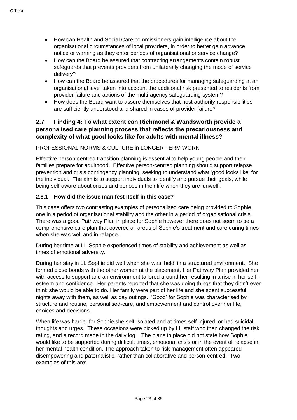- How can Health and Social Care commissioners gain intelligence about the organisational circumstances of local providers, in order to better gain advance notice or warning as they enter periods of organisational or service change?
- How can the Board be assured that contracting arrangements contain robust safeguards that prevents providers from unilaterally changing the mode of service delivery?
- How can the Board be assured that the procedures for managing safeguarding at an organisational level taken into account the additional risk presented to residents from provider failure and actions of the multi-agency safeguarding system?
- How does the Board want to assure themselves that host authority responsibilities are sufficiently understood and shared in cases of provider failure?

#### **2.7 Finding 4: To what extent can Richmond & Wandsworth provide a personalised care planning process that reflects the precariousness and complexity of what good looks like for adults with mental illness?**

#### PROFESSIONAL NORMS & CULTURE in LONGER TERM WORK

Effective person-centred transition planning is essential to help young people and their families prepare for adulthood. Effective person-centred planning should support relapse prevention and crisis contingency planning, seeking to understand what 'good looks like' for the individual. The aim is to support individuals to identify and pursue their goals, while being self-aware about crises and periods in their life when they are 'unwell'.

#### **2.8.1 How did the issue manifest itself in this case?**

This case offers two contrasting examples of personalised care being provided to Sophie, one in a period of organisational stability and the other in a period of organisational crisis. There was a good Pathway Plan in place for Sophie however there does not seem to be a comprehensive care plan that covered all areas of Sophie's treatment and care during times when she was well and in relapse.

During her time at LL Sophie experienced times of stability and achievement as well as times of emotional adversity.

During her stay in LL Sophie did well when she was 'held' in a structured environment. She formed close bonds with the other women at the placement. Her Pathway Plan provided her with access to support and an environment tailored around her resulting in a rise in her selfesteem and confidence. Her parents reported that she was doing things that they didn't ever think she would be able to do. Her family were part of her life and she spent successful nights away with them, as well as day outings. 'Good' for Sophie was characterised by structure and routine, personalised-care, and empowerment and control over her life, choices and decisions.

When life was harder for Sophie she self-isolated and at times self-injured, or had suicidal, thoughts and urges. These occasions were picked up by LL staff who then changed the risk rating, and a record made in the daily log. The plans in place did not state how Sophie would like to be supported during difficult times, emotional crisis or in the event of relapse in her mental health condition. The approach taken to risk management often appeared disempowering and paternalistic, rather than collaborative and person-centred. Two examples of this are: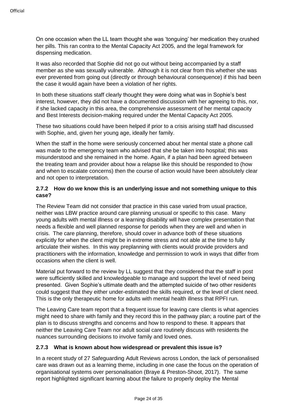On one occasion when the LL team thought she was 'tonguing' her medication they crushed her pills. This ran contra to the Mental Capacity Act 2005, and the legal framework for dispensing medication.

It was also recorded that Sophie did not go out without being accompanied by a staff member as she was sexually vulnerable. Although it is not clear from this whether she was ever prevented from going out (directly or through behavioural consequence) if this had been the case it would again have been a violation of her rights.

In both these situations staff clearly thought they were doing what was in Sophie's best interest, however, they did not have a documented discussion with her agreeing to this, nor, if she lacked capacity in this area, the comprehensive assessment of her mental capacity and Best Interests decision-making required under the Mental Capacity Act 2005.

These two situations could have been helped if prior to a crisis arising staff had discussed with Sophie, and, given her young age, ideally her family.

When the staff in the home were seriously concerned about her mental state a phone call was made to the emergency team who advised that she be taken into hospital; this was misunderstood and she remained in the home. Again, if a plan had been agreed between the treating team and provider about how a relapse like this should be responded to (how and when to escalate concerns) then the course of action would have been absolutely clear and not open to interpretation.

#### **2.7.2 How do we know this is an underlying issue and not something unique to this case?**

The Review Team did not consider that practice in this case varied from usual practice, neither was LBW practice around care planning unusual or specific to this case. Many young adults with mental illness or a learning disability will have complex presentation that needs a flexible and well planned response for periods when they are well and when in crisis. The care planning, therefore, should cover in advance both of these situations explicitly for when the client might be in extreme stress and not able at the time to fully articulate their wishes. In this way preplanning with clients would provide providers and practitioners with the information, knowledge and permission to work in ways that differ from occasions when the client is well.

Material put forward to the review by LL suggest that they considered that the staff in post were sufficiently skilled and knowledgeable to manage and support the level of need being presented. Given Sophie's ultimate death and the attempted suicide of two other residents could suggest that they either under-estimated the skills required, or the level of client need. This is the only therapeutic home for adults with mental health illness that RPFI run.

The Leaving Care team report that a frequent issue for leaving care clients is what agencies might need to share with family and they record this in the pathway plan; a routine part of the plan is to discuss strengths and concerns and how to respond to these. It appears that neither the Leaving Care Team nor adult social care routinely discuss with residents the nuances surrounding decisions to involve family and loved ones.

#### **2.7.3 What is known about how widespread or prevalent this issue is?**

In a recent study of 27 Safeguarding Adult Reviews across London, the lack of personalised care was drawn out as a learning theme, including in one case the focus on the operation of organisational systems over personalisation (Braye & Preston-Shoot, 2017). The same report highlighted significant learning about the failure to properly deploy the Mental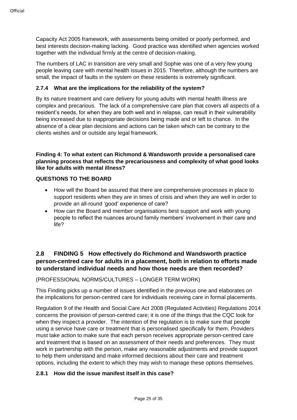Capacity Act 2005 framework, with assessments being omitted or poorly performed, and best interests decision-making lacking. Good practice was identified when agencies worked together with the individual firmly at the centre of decision-making.

The numbers of LAC in transition are very small and Sophie was one of a very few young people leaving care with mental health issues in 2015. Therefore, although the numbers are small, the impact of faults in the system on these residents is extremely significant.

#### **2.7.4 What are the implications for the reliability of the system?**

By its nature treatment and care delivery for young adults with mental health illness are complex and precarious. The lack of a comprehensive care plan that covers all aspects of a resident's needs, for when they are both well and in relapse, can result in their vulnerability being increased due to inappropriate decisions being made and or left to chance. In the absence of a clear plan decisions and actions can be taken which can be contrary to the clients wishes and or outside any legal framework.

#### **Finding 4: To what extent can Richmond & Wandsworth provide a personalised care planning process that reflects the precariousness and complexity of what good looks like for adults with mental illness?**

#### **QUESTIONS TO THE BOARD**

- How will the Board be assured that there are comprehensive processes in place to support residents when they are in times of crisis and when they are well in order to provide an all-round 'good' experience of care?
- How can the Board and member organisations best support and work with young people to reflect the nuances around family members' involvement in their care and life?

#### **2.8 FINDING 5 How effectively do Richmond and Wandsworth practice person-centred care for adults in a placement, both in relation to efforts made to understand individual needs and how those needs are then recorded?**

#### (PROFESSIONAL NORMS/CULTURES – LONGER TERM WORK)

This Finding picks up a number of issues identified in the previous one and elaborates on the implications for person-centred care for individuals receiving care in formal placements.

Regulation 9 of the Health and Social Care Act 2008 (Regulated Activities) Regulations 2014 concerns the provision of person-centred care; it is one of the things that the CQC look for when they inspect a provider. The intention of the regulation is to make sure that people using a service have care or treatment that is personalised specifically for them. Providers must take action to make sure that each person receives appropriate person-centred care and treatment that is based on an assessment of their needs and preferences. They must work in partnership with the person, make any reasonable adjustments and provide support to help them understand and make informed decisions about their care and treatment options, including the extent to which they may wish to manage these options themselves.

#### **2.8.1 How did the issue manifest itself in this case?**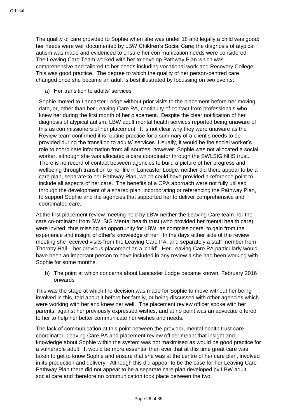The quality of care provided to Sophie when she was under 18 and legally a child was good: her needs were well documented by LBW Children's Social Care; the diagnosis of atypical autism was made and evidenced to ensure her communication needs were considered. The Leaving Care Team worked with her to develop Pathway Plan which was comprehensive and tailored to her needs including vocational work and Recovery College. This was good practice. The degree to which the quality of her person-centred care changed once she became an adult is best illustrated by focussing on two events:

a) Her transition to adults' services

Sophie moved to Lancaster Lodge without prior visits to the placement before her moving date, or, other than her Leaving Care PA, continuity of contact from professionals who knew her during the first month of her placement. Despite the clear notification of her diagnosis of atypical autism, LBW adult mental health services reported being unaware of this as commissioners of her placement. It is not clear why they were unaware as the Review team confirmed it is routine practice for a summary of a client's needs to be provided during the transition to adults' services. Usually, it would be the social worker's role to coordinate information from all sources, however, Sophie was not allocated a social worker, although she was allocated a care coordinator through the SWLStG NHS trust. There is no record of contact between agencies to build a picture of her progress and wellbeing through transition to her life in Lancaster Lodge, neither did there appear to be a care plan, separate to her Pathway Plan, which could have provided a reference point to include all aspects of her care. The benefits of a CPA approach were not fully utilised through the development of a shared plan, incorporating or referencing the Pathway Plan, to support Sophie and the agencies that supported her to deliver comprehensive and coordinated care.

At the first placement review meeting held by LBW neither the Leaving Care team nor the care co-ordinator from SWLStG Mental health trust (who provided her mental health care) were invited, thus missing an opportunity for LBW, as commissioners, to gain from the experience and insight of other's knowledge of her. In the days either side of the review meeting she received visits from the Leaving Care PA, and separately a staff member from Thornby Hall – her previous placement as a 'child'. Her Leaving Care PA particularly would have been an important person to have included in any review a she had been working with Sophie for some months.

b) The point at which concerns about Lancaster Lodge became known; February 2016 onwards

This was the stage at which the decision was made for Sophie to move without her being involved in this, told about it before her family, or being discussed with other agencies which were working with her and knew her well. The placement review officer spoke with her parents, against her previously expressed wishes, and at no point was an advocate offered to her to help her better communicate her wishes and needs.

The lack of communication at this point between the provider, mental health trust care coordinator, Leaving Care PA and placement review officer meant that insight and knowledge about Sophie within the system was not maximised as would be good practice for a vulnerable adult. It would be more essential than ever that at this time great care was taken to get to know Sophie and ensure that she was at the centre of her care plan, involved in its production and delivery. Although this did appear to be the case for her Leaving Care Pathway Plan there did not appear to be a separate care plan developed by LBW adult social care and therefore no communication took place between the two.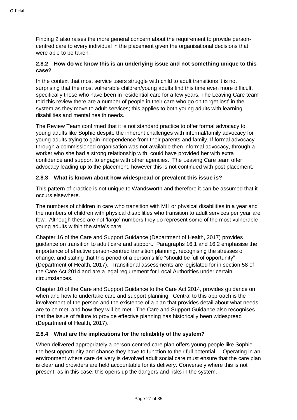Finding 2 also raises the more general concern about the requirement to provide personcentred care to every individual in the placement given the organisational decisions that were able to be taken.

#### **2.8.2 How do we know this is an underlying issue and not something unique to this case?**

In the context that most service users struggle with child to adult transitions it is not surprising that the most vulnerable children/young adults find this time even more difficult, specifically those who have been in residential care for a few years. The Leaving Care team told this review there are a number of people in their care who go on to 'get lost' in the system as they move to adult services; this applies to both young adults with learning disabilities and mental health needs.

The Review Team confirmed that it is not standard practice to offer formal advocacy to young adults like Sophie despite the inherent challenges with informal/family advocacy for young adults trying to gain independence from their parents and family. If formal advocacy through a commissioned organisation was not available then informal advocacy, through a worker who she had a strong relationship with, could have provided her with extra confidence and support to engage with other agencies. The Leaving Care team offer advocacy leading up to the placement, however this is not continued with post placement.

#### **2.8.3 What is known about how widespread or prevalent this issue is?**

This pattern of practice is not unique to Wandsworth and therefore it can be assumed that it occurs elsewhere.

The numbers of children in care who transition with MH or physical disabilities in a year and the numbers of children with physical disabilities who transition to adult services per year are few. Although these are not 'large' numbers they do represent some of the most vulnerable young adults within the state's care.

Chapter 16 of the Care and Support Guidance (Department of Health, 2017) provides guidance on transition to adult care and support. Paragraphs 16.1 and 16.2 emphasise the importance of effective person-centred transition planning, recognising the stresses of change, and stating that this period of a person's life "should be full of opportunity" (Department of Health, 2017). Transitional assessments are legislated for in section 58 of the Care Act 2014 and are a legal requirement for Local Authorities under certain circumstances.

Chapter 10 of the Care and Support Guidance to the Care Act 2014, provides guidance on when and how to undertake care and support planning. Central to this approach is the involvement of the person and the existence of a plan that provides detail about what needs are to be met, and how they will be met. The Care and Support Guidance also recognises that the issue of failure to provide effective planning has historically been widespread (Department of Health, 2017).

#### **2.8.4 What are the implications for the reliability of the system?**

When delivered appropriately a person-centred care plan offers young people like Sophie the best opportunity and chance they have to function to their full potential. Operating in an environment where care delivery is devolved adult social care must ensure that the care plan is clear and providers are held accountable for its delivery. Conversely where this is not present, as in this case, this opens up the dangers and risks in the system.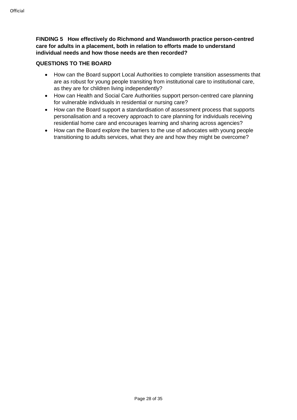**FINDING 5 How effectively do Richmond and Wandsworth practice person-centred care for adults in a placement, both in relation to efforts made to understand individual needs and how those needs are then recorded?**

#### **QUESTIONS TO THE BOARD**

- How can the Board support Local Authorities to complete transition assessments that are as robust for young people transiting from institutional care to institutional care, as they are for children living independently?
- How can Health and Social Care Authorities support person-centred care planning for vulnerable individuals in residential or nursing care?
- How can the Board support a standardisation of assessment process that supports personalisation and a recovery approach to care planning for individuals receiving residential home care and encourages learning and sharing across agencies?
- How can the Board explore the barriers to the use of advocates with young people transitioning to adults services, what they are and how they might be overcome?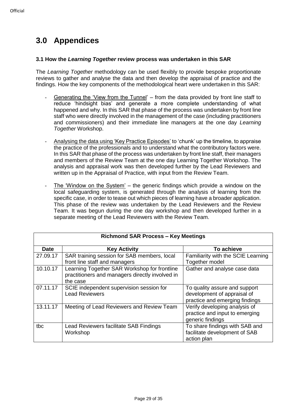## **3.0 Appendices**

#### **3.1 How the** *Learning Together* **review process was undertaken in this SAR**

The *Learning Together* methodology can be used flexibly to provide bespoke proportionate reviews to gather and analyse the data and then develop the appraisal of practice and the findings. How the key components of the methodological heart were undertaken in this SAR:

- Generating the 'View from the Tunnel' from the data provided by front line staff to reduce 'hindsight bias' and generate a more complete understanding of what happened and why. In this SAR that phase of the process was undertaken by front line staff who were directly involved in the management of the case (including practitioners and commissioners) and their immediate line managers at the one day *Learning Together* Workshop.
- Analysing the data using 'Key Practice Episodes' to 'chunk' up the timeline, to appraise the practice of the professionals and to understand what the contributory factors were. In this SAR that phase of the process was undertaken by front line staff, their managers and members of the Review Team at the one day Learning Together Workshop. The analysis and appraisal work was then developed further by the Lead Reviewers and written up in the Appraisal of Practice, with input from the Review Team.
- The 'Window on the System' the generic findings which provide a window on the local safeguarding system, is generated through the analysis of learning from the specific case, in order to tease out which pieces of learning have a broader application. This phase of the review was undertaken by the Lead Reviewers and the Review Team. It was begun during the one day workshop and then developed further in a separate meeting of the Lead Reviewers with the Review Team.

| <b>Richmond SAR Process - Key Meetings</b> |                                                                                                             |                                                                                                |
|--------------------------------------------|-------------------------------------------------------------------------------------------------------------|------------------------------------------------------------------------------------------------|
| <b>Date</b>                                | <b>Key Activity</b>                                                                                         | To achieve                                                                                     |
| 27.09.17                                   | SAR training session for SAB members, local<br>front line staff and managers                                | Familiarity with the SCIE Learning<br>Together model                                           |
| 10.10.17                                   | Learning Together SAR Workshop for frontline<br>practitioners and managers directly involved in<br>the case | Gather and analyse case data                                                                   |
| 07.11.17                                   | SCIE independent supervision session for<br><b>Lead Reviewers</b>                                           | To quality assure and support<br>development of appraisal of<br>practice and emerging findings |
| 13.11.17                                   | Meeting of Lead Reviewers and Review Team                                                                   | Verify developing analysis of<br>practice and input to emerging<br>generic findings            |
| tbc                                        | Lead Reviewers facilitate SAB Findings<br>Workshop                                                          | To share findings with SAB and<br>facilitate development of SAB<br>action plan                 |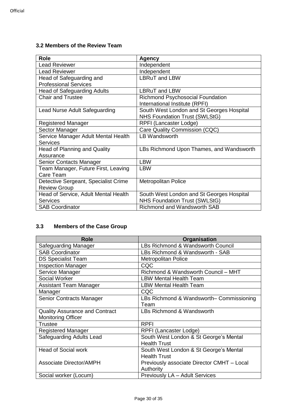#### **3.2 Members of the Review Team**

| <b>Role</b>                          | <b>Agency</b>                             |
|--------------------------------------|-------------------------------------------|
| <b>Lead Reviewer</b>                 | Independent                               |
| <b>Lead Reviewer</b>                 | Independent                               |
| Head of Safeguarding and             | <b>LBRuT</b> and LBW                      |
| <b>Professional Services</b>         |                                           |
| <b>Head of Safeguarding Adults</b>   | <b>LBRuT</b> and LBW                      |
| <b>Chair and Trustee</b>             | <b>Richmond Psychosocial Foundation</b>   |
|                                      | International Institute (RPFI)            |
| <b>Lead Nurse Adult Safeguarding</b> | South West London and St Georges Hospital |
|                                      | <b>NHS Foundation Trust (SWLStG)</b>      |
| <b>Registered Manager</b>            | RPFI (Lancaster Lodge)                    |
| Sector Manager                       | Care Quality Commission (CQC)             |
| Service Manager Adult Mental Health  | <b>LB Wandsworth</b>                      |
| <b>Services</b>                      |                                           |
| <b>Head of Planning and Quality</b>  | LBs Richmond Upon Thames, and Wandsworth  |
| Assurance                            |                                           |
| Senior Contacts Manager              | <b>LBW</b>                                |
| Team Manager, Future First, Leaving  | <b>LBW</b>                                |
| Care Team                            |                                           |
| Detective Sergeant, Specialist Crime | <b>Metropolitan Police</b>                |
| <b>Review Group</b>                  |                                           |
| Head of Service, Adult Mental Health | South West London and St Georges Hospital |
| <b>Services</b>                      | NHS Foundation Trust (SWLStG)             |
| <b>SAB Coordinator</b>               | <b>Richmond and Wandsworth SAB</b>        |

#### **3.3 Members of the Case Group**

| <b>Role</b>                           | Organisation                               |
|---------------------------------------|--------------------------------------------|
| Safeguarding Manager                  | LBs Richmond & Wandsworth Council          |
| <b>SAB Coordinator</b>                | LBs Richmond & Wandsworth - SAB            |
| <b>DS Specialist Team</b>             | <b>Metropolitan Police</b>                 |
| <b>Inspection Manager</b>             | CQC                                        |
| Service Manager                       | Richmond & Wandsworth Council - MHT        |
| Social Worker                         | <b>LBW Mental Health Team</b>              |
| Assistant Team Manager                | <b>LBW Mental Health Team</b>              |
| Manager                               | CQC                                        |
| Senior Contracts Manager              | LBs Richmond & Wandsworth- Commissioning   |
|                                       | Team                                       |
| <b>Quality Assurance and Contract</b> | LBs Richmond & Wandsworth                  |
| <b>Monitoring Officer</b>             |                                            |
| <b>Trustee</b>                        | <b>RPFI</b>                                |
| <b>Registered Manager</b>             | RPFI (Lancaster Lodge)                     |
| Safeguarding Adults Lead              | South West London & St George's Mental     |
|                                       | <b>Health Trust</b>                        |
| <b>Head of Social work</b>            | South West London & St George's Mental     |
|                                       | <b>Health Trust</b>                        |
| <b>Associate Director/AMPH</b>        | Previously associate Director CMHT - Local |
|                                       | Authority                                  |
| Social worker (Locum)                 | Previously LA - Adult Services             |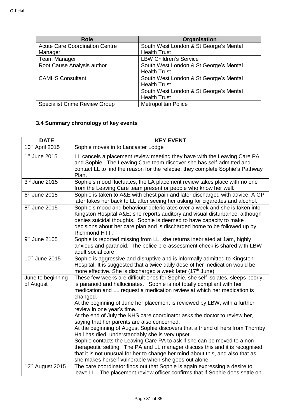| <b>Role</b>                           | Organisation                           |
|---------------------------------------|----------------------------------------|
| <b>Acute Care Coordination Centre</b> | South West London & St George's Mental |
| Manager                               | <b>Health Trust</b>                    |
| <b>Team Manager</b>                   | <b>LBW Children's Service</b>          |
| Root Cause Analysis author            | South West London & St George's Mental |
|                                       | <b>Health Trust</b>                    |
| <b>CAMHS Consultant</b>               | South West London & St George's Mental |
|                                       | <b>Health Trust</b>                    |
|                                       | South West London & St George's Mental |
|                                       | <b>Health Trust</b>                    |
| <b>Specialist Crime Review Group</b>  | <b>Metropolitan Police</b>             |

#### **3.4 Summary chronology of key events**

| <b>DATE</b>                    | <b>KEY EVENT</b>                                                                                                                                                                                                                                                                                                                                              |
|--------------------------------|---------------------------------------------------------------------------------------------------------------------------------------------------------------------------------------------------------------------------------------------------------------------------------------------------------------------------------------------------------------|
| 10 <sup>th</sup> April 2015    | Sophie moves in to Lancaster Lodge                                                                                                                                                                                                                                                                                                                            |
| $1st$ June 2015                | LL cancels a placement review meeting they have with the Leaving Care PA<br>and Sophie. The Leaving Care team discover she has self-admitted and<br>contact LL to find the reason for the relapse; they complete Sophie's Pathway<br>Plan.                                                                                                                    |
| 3rd June 2015                  | Sophie's mood fluctuates, the LA placement review takes place with no one<br>from the Leaving Care team present or people who know her well.                                                                                                                                                                                                                  |
| 6 <sup>th</sup> June 2015      | Sophie is taken to A&E with chest pain and later discharged with advice. A GP<br>later takes her back to LL after seeing her asking for cigarettes and alcohol.                                                                                                                                                                                               |
| 8 <sup>th</sup> June 2015      | Sophie's mood and behaviour deteriorates over a week and she is taken into<br>Kingston Hospital A&E she reports auditory and visual disturbance, although<br>denies suicidal thoughts. Sophie is deemed to have capacity to make<br>decisions about her care plan and is discharged home to be followed up by<br>Richmond HTT.                                |
| $9th$ June 2105                | Sophie is reported missing from LL, she returns inebriated at 1am, highly<br>anxious and paranoid. The police pre-assessment check is shared with LBW<br>adult social care                                                                                                                                                                                    |
| 10th June 2015                 | Sophie is aggressive and disruptive and is informally admitted to Kingston<br>Hospital. It is suggested that a twice daily dose of her medication would be<br>more effective. She is discharged a week later (17 <sup>th</sup> June)                                                                                                                          |
| June to beginning<br>of August | These few weeks are difficult ones for Sophie, she self isolates, sleeps poorly,<br>is paranoid and hallucinates. Sophie is not totally compliant with her<br>medication and LL request a medication review at which her medication is<br>changed.<br>At the beginning of June her placement is reviewed by LBW, with a further<br>review in one year's time. |
|                                | At the end of July the NHS care coordinator asks the doctor to review her,<br>saying that her parents are also concerned.<br>At the beginning of August Sophie discovers that a friend of hers from Thornby                                                                                                                                                   |
|                                | Hall has died, understandably she is very upset<br>Sophie contacts the Leaving Care PA to ask if she can be moved to a non-<br>therapeutic setting. The PA and LL manager discuss this and it is recognised<br>that it is not unusual for her to change her mind about this, and also that as<br>she makes herself vulnerable when she goes out alone.        |
| 12th August 2015               | The care coordinator finds out that Sophie is again expressing a desire to<br>leave LL. The placement review officer confirms that if Sophie does settle on                                                                                                                                                                                                   |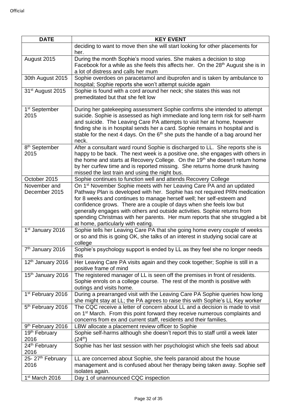| <b>DATE</b>                       | <b>KEY EVENT</b>                                                                                                                                                                                                                                                                                                                                                                                                                                                                                                   |
|-----------------------------------|--------------------------------------------------------------------------------------------------------------------------------------------------------------------------------------------------------------------------------------------------------------------------------------------------------------------------------------------------------------------------------------------------------------------------------------------------------------------------------------------------------------------|
|                                   | deciding to want to move then she will start looking for other placements for<br>her.                                                                                                                                                                                                                                                                                                                                                                                                                              |
| August 2015                       | During the month Sophie's mood varies. She makes a decision to stop<br>Facebook for a while as she feels this affects her. On the 28 <sup>th</sup> August she is in<br>a lot of distress and calls her mum                                                                                                                                                                                                                                                                                                         |
| 30th August 2015                  | Sophie overdoes on paracetamol and ibuprofen and is taken by ambulance to<br>hospital; Sophie reports she won't attempt suicide again                                                                                                                                                                                                                                                                                                                                                                              |
| 31 <sup>st</sup> August 2015      | Sophie is found with a cord around her neck; she states this was not<br>premeditated but that she felt low                                                                                                                                                                                                                                                                                                                                                                                                         |
| 1 <sup>st</sup> September<br>2015 | During her gatekeeping assessment Sophie confirms she intended to attempt<br>suicide. Sophie is assessed as high immediate and long term risk for self-harm<br>and suicide. The Leaving Care PA attempts to visit her at home, however<br>finding she is in hospital sends her a card. Sophie remains in hospital and is<br>stable for the next 4 days. On the $6th$ she puts the handle of a bag around her<br>neck.                                                                                              |
| 8 <sup>th</sup> September<br>2015 | After a consultant ward round Sophie is discharged to LL. She reports she is<br>happy to be back. The next week is a positive one, she engages with others in<br>the home and starts at Recovery College. On the 19 <sup>th</sup> she doesn't return home<br>by her curfew time and is reported missing. She returns home drunk having<br>missed the last train and using the night bus.                                                                                                                           |
| October 2015                      | Sophie continues to function well and attends Recovery College                                                                                                                                                                                                                                                                                                                                                                                                                                                     |
| November and<br>December 2015     | On 1 <sup>st</sup> November Sophie meets with her Leaving Care PA and an updated<br>Pathway Plan is developed with her. Sophie has not required PRN medication<br>for 8 weeks and continues to manage herself well; her self-esteem and<br>confidence grows. There are a couple of days when she feels low but<br>generally engages with others and outside activities. Sophie returns from<br>spending Christmas with her parents. Her mum reports that she struggled a bit<br>at home, particularly with eating. |
| 1 <sup>st</sup> January 2016      | Sophie tells her Leaving Care PA that she going home every couple of weeks<br>or so and this is going OK, she talks of an interest in studying social care at<br>college                                                                                                                                                                                                                                                                                                                                           |
| 7 <sup>th</sup> January 2016      | Sophie's psychology support is ended by LL as they feel she no longer needs<br>this                                                                                                                                                                                                                                                                                                                                                                                                                                |
| 12 <sup>th</sup> January 2016     | Her Leaving Care PA visits again and they cook together; Sophie is still in a<br>positive frame of mind                                                                                                                                                                                                                                                                                                                                                                                                            |
| 15th January 2016                 | The registered manager of LL is seen off the premises in front of residents.<br>Sophie enrols on a college course. The rest of the month is positive with<br>outings and visits home.                                                                                                                                                                                                                                                                                                                              |
| 1 <sup>st</sup> February 2016     | During a prearranged visit with the Leaving Care PA Sophie queries how long<br>she might stay at LL; the PA agrees to raise this with Sophie's LL Key worker                                                                                                                                                                                                                                                                                                                                                       |
| 5 <sup>th</sup> February 2016     | The CQC receive a letter of concern about LL and a decision is made to visit<br>on 1 <sup>st</sup> March. From this point forward they receive numerous complaints and<br>concerns from ex and current staff, residents and their families.                                                                                                                                                                                                                                                                        |
| 9 <sup>th</sup> February 2016     | LBW allocate a placement review officer to Sophie                                                                                                                                                                                                                                                                                                                                                                                                                                                                  |
| 19th February<br>2016             | Sophie self-harms although she doesn't report this to staff until a week later<br>$(24^{th})$                                                                                                                                                                                                                                                                                                                                                                                                                      |
| 24 <sup>th</sup> February<br>2016 | Sophie has her last session with her psychologist which she feels sad about                                                                                                                                                                                                                                                                                                                                                                                                                                        |
| 25-27 <sup>th</sup> February      | LL are concerned about Sophie, she feels paranoid about the house                                                                                                                                                                                                                                                                                                                                                                                                                                                  |
| 2016                              | management and is confused about her therapy being taken away. Sophie self<br>isolates again.                                                                                                                                                                                                                                                                                                                                                                                                                      |
| 1 <sup>st</sup> March 2016        | Day 1 of unannounced CQC inspection                                                                                                                                                                                                                                                                                                                                                                                                                                                                                |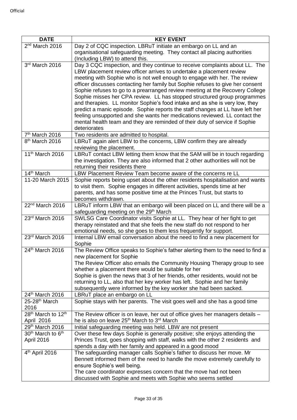| <b>DATE</b>                                | <b>KEY EVENT</b>                                                                                                                                             |
|--------------------------------------------|--------------------------------------------------------------------------------------------------------------------------------------------------------------|
| 2 <sup>nd</sup> March 2016                 | Day 2 of CQC inspection. LBRuT initiate an embargo on LL and an                                                                                              |
|                                            | organisational safeguarding meeting. They contact all placing authorities                                                                                    |
|                                            | (Including LBW) to attend this.                                                                                                                              |
| 3rd March 2016                             | Day 3 CQC inspection, and they continue to receive complaints about LL. The                                                                                  |
|                                            | LBW placement review officer arrives to undertake a placement review                                                                                         |
|                                            | meeting with Sophie who is not well enough to engage with her. The review                                                                                    |
|                                            | officer discusses contacting her family but Sophie refuses to give her consent                                                                               |
|                                            | Sophie refuses to go to a prearranged review meeting at the Recovery College                                                                                 |
|                                            | Sophie misses her CPA review. LL has stopped structured group programmes                                                                                     |
|                                            | and therapies. LL monitor Sophie's food intake and as she is very low, they<br>predict a manic episode. Sophie reports the staff changes at LL have left her |
|                                            | feeling unsupported and she wants her medications reviewed. LL contact the                                                                                   |
|                                            | mental health team and they are reminded of their duty of service if Sophie                                                                                  |
|                                            | deteriorates                                                                                                                                                 |
| 7 <sup>th</sup> March 2016                 | Two residents are admitted to hospital.                                                                                                                      |
| 8 <sup>th</sup> March 2016                 | LBRuT again alert LBW to the concerns, LBW confirm they are already                                                                                          |
|                                            | reviewing the placement.                                                                                                                                     |
| 11 <sup>th</sup> March 2016                | LBRuT contact LBW letting them know that the SAM will be in touch regarding                                                                                  |
|                                            | the investigation. They are also informed that 2 other authorities will not be                                                                               |
|                                            | returning their residents there                                                                                                                              |
| 14 <sup>th</sup> March                     | LBW Placement Review Team become aware of the concerns re LL                                                                                                 |
| 11-20 March 2015                           | Sophie reports being upset about the other residents hospitalisation and wants                                                                               |
|                                            | to visit them. Sophie engages in different activities, spends time at her<br>parents, and has some positive time at the Princes Trust, but starts to         |
|                                            | becomes withdrawn.                                                                                                                                           |
| 22 <sup>nd</sup> March 2016                | LBRuT inform LBW that an embargo will been placed on LL and there will be a                                                                                  |
|                                            | safeguarding meeting on the 29th March                                                                                                                       |
| 23rd March 2016                            | SWLSG Care Coordinator visits Sophie at LL. They hear of her fight to get                                                                                    |
|                                            | therapy reinstated and that she feels the new staff do not respond to her                                                                                    |
|                                            | emotional needs, so she goes to them less frequently for support.                                                                                            |
| 23rd March 2016                            | Internal LBW email conversation about the need to find a new placement for                                                                                   |
|                                            | Sophie                                                                                                                                                       |
| 24th March 2016                            | The Review Office speaks to Sophie's father alerting them to the need to find a                                                                              |
|                                            | new placement for Sophie<br>The Review Officer also emails the Community Housing Therapy group to see                                                        |
|                                            | whether a placement there would be suitable for her                                                                                                          |
|                                            | Sophie is given the news that 3 of her friends, other residents, would not be                                                                                |
|                                            | returning to LL, also that her key worker has left. Sophie and her family                                                                                    |
|                                            | subsequently were informed by the key worker she had been sacked.                                                                                            |
| 24th March 2016                            | LBRuT place an embargo on LL                                                                                                                                 |
| 25-28 <sup>th</sup> March                  | Sophie stays with her parents. The visit goes well and she has a good time                                                                                   |
| 2016                                       |                                                                                                                                                              |
| 28 <sup>th</sup> March to 12 <sup>th</sup> | The Review officer is on leave, her out of office gives her managers details -                                                                               |
| April 2016<br>29th March 2016              | he is also on leave 25 <sup>th</sup> March to 3 <sup>rd</sup> March                                                                                          |
| 30 <sup>th</sup> March to 6 <sup>th</sup>  | Initial safeguarding meeting was held. LBW are not present<br>Over these few days Sophie is generally positive; she enjoys attending the                     |
| April 2016                                 | Princes Trust, goes shopping with staff, walks with the other 2 residents and                                                                                |
|                                            | spends a day with her family and appeared in a good mood                                                                                                     |
| $4th$ April 2016                           | The safeguarding manager calls Sophie's father to discuss her move. Mr                                                                                       |
|                                            | Bennett informed them of the need to handle the move extremely carefully to                                                                                  |
|                                            | ensure Sophie's well being.                                                                                                                                  |
|                                            | The care coordinator expresses concern that the move had not been                                                                                            |
|                                            | discussed with Sophie and meets with Sophie who seems settled                                                                                                |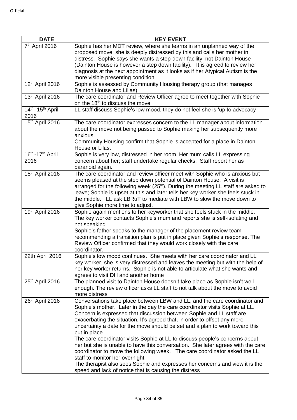| <b>DATE</b>                                      | <b>KEY EVENT</b>                                                                                                                                                                                                                                                                                                                                                                                                                                                                                                                                                                                                                                                                                                                                                                                                                         |
|--------------------------------------------------|------------------------------------------------------------------------------------------------------------------------------------------------------------------------------------------------------------------------------------------------------------------------------------------------------------------------------------------------------------------------------------------------------------------------------------------------------------------------------------------------------------------------------------------------------------------------------------------------------------------------------------------------------------------------------------------------------------------------------------------------------------------------------------------------------------------------------------------|
| 7 <sup>th</sup> April 2016                       | Sophie has her MDT review, where she learns in an unplanned way of the<br>proposed move; she is deeply distressed by this and calls her mother in<br>distress. Sophie says she wants a step-down facility, not Dainton House<br>(Dainton House is however a step down facility). It is agreed to review her                                                                                                                                                                                                                                                                                                                                                                                                                                                                                                                              |
|                                                  | diagnosis at the next appointment as it looks as if her Atypical Autism is the<br>more visible presenting condition.                                                                                                                                                                                                                                                                                                                                                                                                                                                                                                                                                                                                                                                                                                                     |
| 12th April 2016                                  | Sophie is assessed by Community Housing therapy group (that manages<br>Dainton House and Lilias)                                                                                                                                                                                                                                                                                                                                                                                                                                                                                                                                                                                                                                                                                                                                         |
| 13th April 2016                                  | The care coordinator and Review Officer agree to meet together with Sophie<br>on the 18 <sup>th</sup> to discuss the move                                                                                                                                                                                                                                                                                                                                                                                                                                                                                                                                                                                                                                                                                                                |
| 14 <sup>th</sup> -15 <sup>th</sup> April<br>2016 | LL staff discuss Sophie's low mood, they do not feel she is 'up to advocacy                                                                                                                                                                                                                                                                                                                                                                                                                                                                                                                                                                                                                                                                                                                                                              |
| 15th April 2016                                  | The care coordinator expresses concern to the LL manager about information<br>about the move not being passed to Sophie making her subsequently more<br>anxious.<br>Community Housing confirm that Sophie is accepted for a place in Dainton                                                                                                                                                                                                                                                                                                                                                                                                                                                                                                                                                                                             |
|                                                  | House or Lilas.                                                                                                                                                                                                                                                                                                                                                                                                                                                                                                                                                                                                                                                                                                                                                                                                                          |
| $16^{th}$ -17 <sup>th</sup> April<br>2016        | Sophie is very low, distressed in her room. Her mum calls LL expressing<br>concern about her; staff undertake regular checks. Staff report her as<br>paranoid again.                                                                                                                                                                                                                                                                                                                                                                                                                                                                                                                                                                                                                                                                     |
| 18th April 2016                                  | The care coordinator and review officer meet with Sophie who is anxious but<br>seems pleased at the step down potential of Dainton House. A visit is<br>arranged for the following week (25 <sup>th</sup> ). During the meeting LL staff are asked to<br>leave; Sophie is upset at this and later tells her key worker she feels stuck in<br>the middle. LL ask LBRuT to mediate with LBW to slow the move down to<br>give Sophie more time to adjust.                                                                                                                                                                                                                                                                                                                                                                                   |
| 19th April 2016                                  | Sophie again mentions to her keyworker that she feels stuck in the middle.<br>The key worker contacts Sophie's mum and reports she is self-isolating and<br>not speaking<br>Sophie's father speaks to the manager of the placement review team<br>recommending a transition plan is put in place given Sophie's response. The<br>Review Officer confirmed that they would work closely with the care<br>coordinator.                                                                                                                                                                                                                                                                                                                                                                                                                     |
| 22th April 2016                                  | Sophie's low mood continues. She meets with her care coordinator and LL<br>key worker, she is very distressed and leaves the meeting but with the help of<br>her key worker returns. Sophie is not able to articulate what she wants and<br>agrees to visit DH and another home                                                                                                                                                                                                                                                                                                                                                                                                                                                                                                                                                          |
| 25th April 2016                                  | The planned visit to Dainton House doesn't take place as Sophie isn't well<br>enough. The review officer asks LL staff to not talk about the move to avoid<br>more distress                                                                                                                                                                                                                                                                                                                                                                                                                                                                                                                                                                                                                                                              |
| 26th April 2016                                  | Conversations take place between LBW and LL, and the care coordinator and<br>Sophie's mother. Later in the day the care coordinator visits Sophie at LL.<br>Concern is expressed that discussion between Sophie and LL staff are<br>exacerbating the situation. It's agreed that, in order to offset any more<br>uncertainty a date for the move should be set and a plan to work toward this<br>put in place.<br>The care coordinator visits Sophie at LL to discuss people's concerns about<br>her but she is unable to have this conversation. She later agrees with the care<br>coordinator to move the following week. The care coordinator asked the LL<br>staff to monitor her overnight<br>The therapist also sees Sophie and expresses her concerns and view it is the<br>speed and lack of notice that is causing the distress |